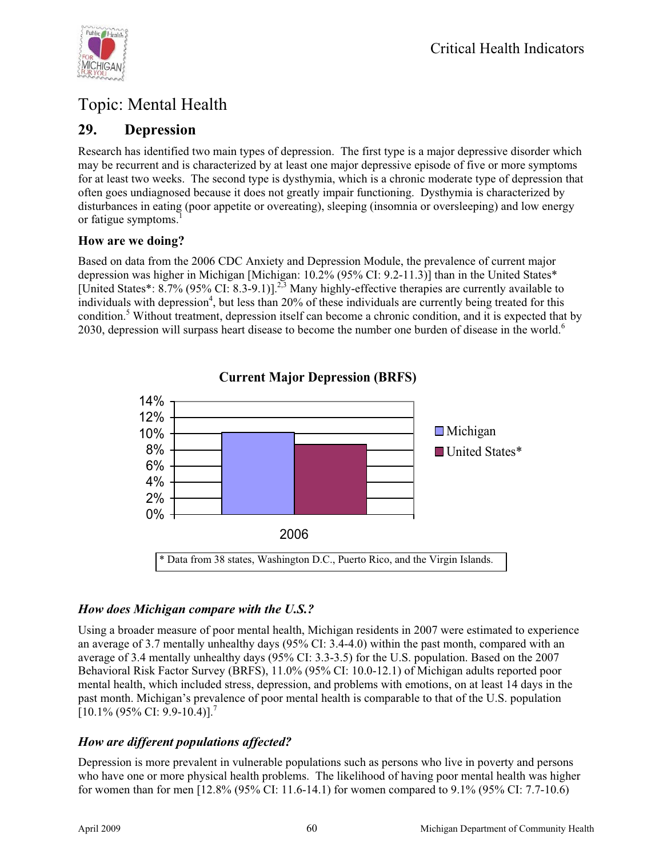

# Topic: Mental Health

## **29. Depression**

Research has identified two main types of depression. The first type is a major depressive disorder which may be recurrent and is characterized by at least one major depressive episode of five or more symptoms for at least two weeks. The second type is dysthymia, which is a chronic moderate type of depression that often goes undiagnosed because it does not greatly impair functioning. Dysthymia is characterized by disturbances in eating (poor appetite or overeating), sleeping (insomnia or oversleeping) and low energy or fatigue symptoms.<sup>1</sup>

#### **How are we doing?**

Based on data from the 2006 CDC Anxiety and Depression Module, the prevalence of current major depression was higher in Michigan [Michigan: 10.2% (95% CI: 9.2-11.3)] than in the United States\* [United States\*:  $8.7\%$  (95% CI:  $8.3-9.1$ )].<sup>2,3</sup> Many highly-effective therapies are currently available to individuals with depression<sup>4</sup>, but less than 20% of these individuals are currently being treated for this condition.<sup>5</sup> Without treatment, depression itself can become a chronic condition, and it is expected that by 2030, depression will surpass heart disease to become the number one burden of disease in the world.<sup>6</sup>



**Current Major Depression (BRFS)**

### *How does Michigan compare with the U.S.?*

Using a broader measure of poor mental health, Michigan residents in 2007 were estimated to experience an average of 3.7 mentally unhealthy days (95% CI: 3.4-4.0) within the past month, compared with an average of 3.4 mentally unhealthy days (95% CI: 3.3-3.5) for the U.S. population. Based on the 2007 Behavioral Risk Factor Survey (BRFS), 11.0% (95% CI: 10.0-12.1) of Michigan adults reported poor mental health, which included stress, depression, and problems with emotions, on at least 14 days in the past month. Michigan's prevalence of poor mental health is comparable to that of the U.S. population  $[10.1\% (95\% CI: 9.9-10.4)].$ <sup>7</sup>

### *How are different populations affected?*

Depression is more prevalent in vulnerable populations such as persons who live in poverty and persons who have one or more physical health problems. The likelihood of having poor mental health was higher for women than for men [12.8% (95% CI: 11.6-14.1) for women compared to 9.1% (95% CI: 7.7-10.6)